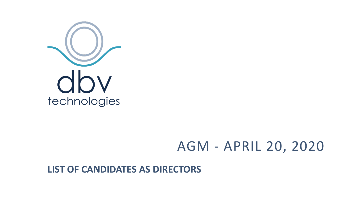

## AGM - APRIL 20, 2020

**LIST OF CANDIDATES AS DIRECTORS**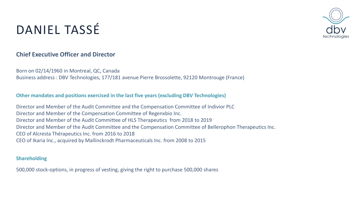# DANIEL TASSÉ



### **Chief Executive Officer and Director**

Born on 02/14/1960 in Montreal, QC, Canada Business address : DBV Technologies, 177/181 avenue Pierre Brossolette, 92120 Montrouge (France)

#### **Other mandates and positions exercised in the last five years (excluding DBV Technologies)**

Director and Member of the Audit Committee and the Compensation Committee of Indivior PLC Director and Member of the Compensation Committee of Regenxbio Inc. Director and Member of the Audit Committee of HLS Therapeutics from 2018 to 2019 Director and Member of the Audit Committee and the Compensation Committee of Bellerophon Therapeutics Inc. CEO of Alcresta Thérapeutics Inc. from 2016 to 2018 CEO of Ikaria Inc., acquired by Mallinckrodt Pharmaceuticals Inc. from 2008 to 2015

#### **Shareholding**

500,000 stock-options, in progress of vesting, giving the right to purchase 500,000 shares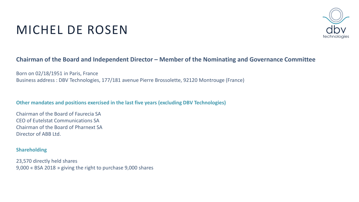## MICHEL DE ROSEN



#### **Chairman of the Board and Independent Director – Member of the Nominating and Governance Committee**

Born on 02/18/1951 in Paris, France Business address : DBV Technologies, 177/181 avenue Pierre Brossolette, 92120 Montrouge (France)

#### **Other mandates and positions exercised in the last five years (excluding DBV Technologies)**

Chairman of the Board of Faurecia SA CEO of Eutelstat Communications SA Chairman of the Board of Pharnext SA Director of ABB Ltd.

#### **Shareholding**

23,570 directly held shares 9,000 « BSA 2018 » giving the right to purchase 9,000 shares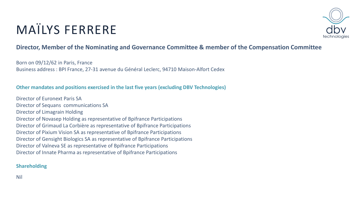# MAÏLYS FERRERE



### **Director, Member of the Nominating and Governance Committee & member of the Compensation Committee**

Born on 09/12/62 in Paris, France Business address : BPI France, 27-31 avenue du Général Leclerc, 94710 Maison-Alfort Cedex

#### **Other mandates and positions exercised in the last five years (excluding DBV Technologies)**

Director of Euronext Paris SA Director of Sequans communications SA Director of Limagrain Holding Director of Novasep Holding as representative of Bpifrance Participations Director of Grimaud La Corbière as representative of Bpifrance Participations Director of Pixium Vision SA as representative of Bpifrance Participations Director of Gensight Biologics SA as representative of Bpifrance Participations Director of Valneva SE as representative of Bpifrance Participations Director of Innate Pharma as representative of Bpifrance Participations

#### **Shareholding**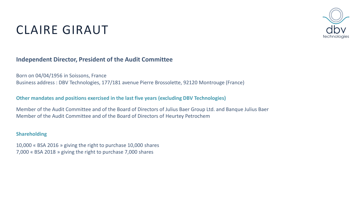### CLAIRE GIRAUT

#### **Independent Director, President of the Audit Committee**

Born on 04/04/1956 in Soissons, France Business address : DBV Technologies, 177/181 avenue Pierre Brossolette, 92120 Montrouge (France)

#### **Other mandates and positions exercised in the last five years (excluding DBV Technologies)**

Member of the Audit Committee and of the Board of Directors of Julius Baer Group Ltd. and Banque Julius Baer Member of the Audit Committee and of the Board of Directors of Heurtey Petrochem

#### **Shareholding**

10,000 « BSA 2016 » giving the right to purchase 10,000 shares 7,000 « BSA 2018 » giving the right to purchase 7,000 shares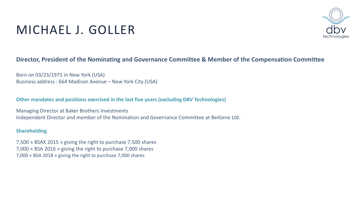### MICHAEL J. GOLLER

#### **Director, President of the Nominating and Governance Committee & Member of the Compensation Committee**

Born on 03/23/1975 in New York (USA) Business address : 664 Madison Avenue – New York City (USA)

**Other mandates and positions exercised in the last five years (excluding DBV Technologies)**

Managing Director at Baker Brothers Investments Independent Director and member of the Nomination and Governance Committee at BeiGene Ltd.

#### **Shareholding**

7,500 « BSAX 2015 » giving the right to purchase 7,500 shares 7,000 « BSA 2016 » giving the right to purchase 7,000 shares 7,000 « BSA 2018 » giving the right to purchase 7,000 shares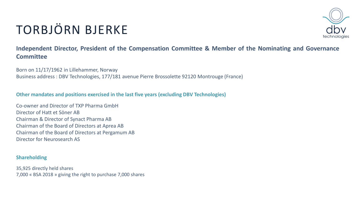# TORBJÖRN BJERKE



**Independent Director, President of the Compensation Committee & Member of the Nominating and Governance Committee**

Born on 11/17/1962 in Lillehammer, Norway Business address : DBV Technologies, 177/181 avenue Pierre Brossolette 92120 Montrouge (France)

**Other mandates and positions exercised in the last five years (excluding DBV Technologies)**

Co-owner and Director of TXP Pharma GmbH Director of Hatt et Söner AB Chairman & Director of Synact Pharma AB Chairman of the Board of Directors at Aprea AB Chairman of the Board of Directors at Pergamum AB Director for Neurosearch AS

#### **Shareholding**

35,925 directly held shares 7,000 « BSA 2018 » giving the right to purchase 7,000 shares